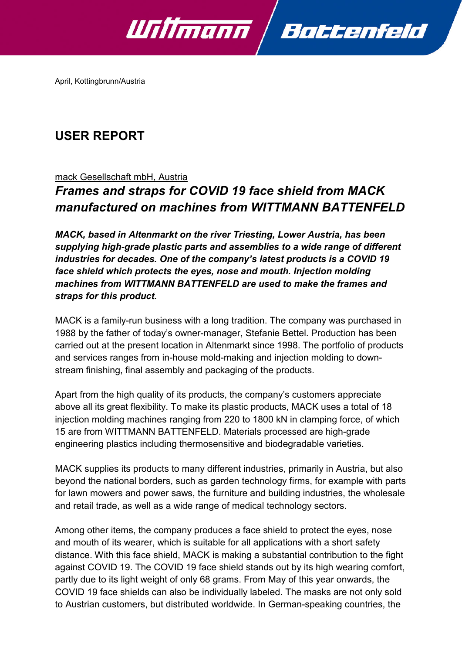

April, Kottingbrunn/Austria

## **USER REPORT**

### mack Gesellschaft mbH, Austria

# *Frames and straps for COVID 19 face shield from MACK manufactured on machines from WITTMANN BATTENFELD*

*MACK, based in Altenmarkt on the river Triesting, Lower Austria, has been supplying high-grade plastic parts and assemblies to a wide range of different industries for decades. One of the company's latest products is a COVID 19 face shield which protects the eyes, nose and mouth. Injection molding machines from WITTMANN BATTENFELD are used to make the frames and straps for this product.*

MACK is a family-run business with a long tradition. The company was purchased in 1988 by the father of today's owner-manager, Stefanie Bettel. Production has been carried out at the present location in Altenmarkt since 1998. The portfolio of products and services ranges from in-house mold-making and injection molding to downstream finishing, final assembly and packaging of the products.

Apart from the high quality of its products, the company's customers appreciate above all its great flexibility. To make its plastic products, MACK uses a total of 18 injection molding machines ranging from 220 to 1800 kN in clamping force, of which 15 are from WITTMANN BATTENFELD. Materials processed are high-grade engineering plastics including thermosensitive and biodegradable varieties.

MACK supplies its products to many different industries, primarily in Austria, but also beyond the national borders, such as garden technology firms, for example with parts for lawn mowers and power saws, the furniture and building industries, the wholesale and retail trade, as well as a wide range of medical technology sectors.

Among other items, the company produces a face shield to protect the eyes, nose and mouth of its wearer, which is suitable for all applications with a short safety distance. With this face shield, MACK is making a substantial contribution to the fight against COVID 19. The COVID 19 face shield stands out by its high wearing comfort, partly due to its light weight of only 68 grams. From May of this year onwards, the COVID 19 face shields can also be individually labeled. The masks are not only sold to Austrian customers, but distributed worldwide. In German-speaking countries, the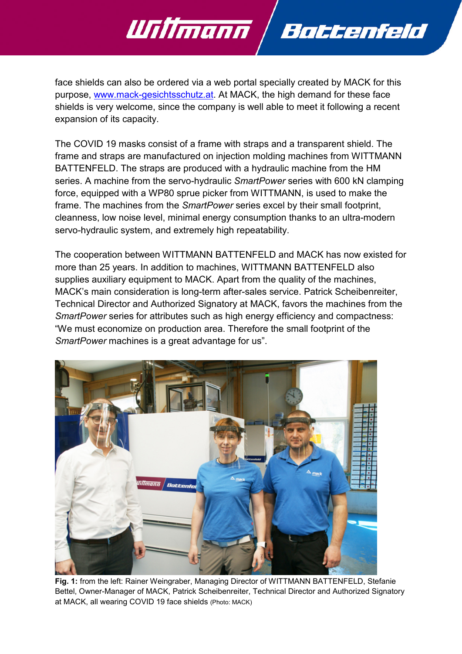

face shields can also be ordered via a web portal specially created by MACK for this purpose, [www.mack-gesichtsschutz.at.](http://www.mack-gesichtsschutz.at/) At MACK, the high demand for these face shields is very welcome, since the company is well able to meet it following a recent expansion of its capacity.

The COVID 19 masks consist of a frame with straps and a transparent shield. The frame and straps are manufactured on injection molding machines from WITTMANN BATTENFELD. The straps are produced with a hydraulic machine from the HM series. A machine from the servo-hydraulic *SmartPower* series with 600 kN clamping force, equipped with a WP80 sprue picker from WITTMANN, is used to make the frame. The machines from the *SmartPower* series excel by their small footprint, cleanness, low noise level, minimal energy consumption thanks to an ultra-modern servo-hydraulic system, and extremely high repeatability.

The cooperation between WITTMANN BATTENFELD and MACK has now existed for more than 25 years. In addition to machines, WITTMANN BATTENFELD also supplies auxiliary equipment to MACK. Apart from the quality of the machines, MACK's main consideration is long-term after-sales service. Patrick Scheibenreiter, Technical Director and Authorized Signatory at MACK, favors the machines from the *SmartPower* series for attributes such as high energy efficiency and compactness: "We must economize on production area. Therefore the small footprint of the *SmartPower* machines is a great advantage for us".



**Fig. 1:** from the left: Rainer Weingraber, Managing Director of WITTMANN BATTENFELD, Stefanie Bettel, Owner-Manager of MACK, Patrick Scheibenreiter, Technical Director and Authorized Signatory at MACK, all wearing COVID 19 face shields (Photo: MACK)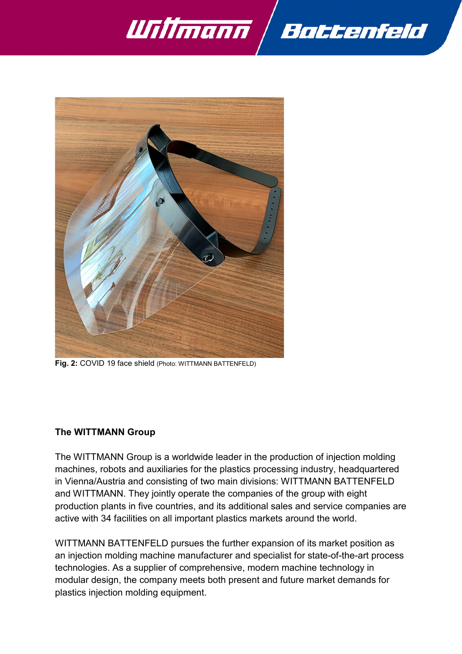



**Fig. 2:** COVID 19 face shield (Photo: WITTMANN BATTENFELD)

#### **The WITTMANN Group**

The WITTMANN Group is a worldwide leader in the production of injection molding machines, robots and auxiliaries for the plastics processing industry, headquartered in Vienna/Austria and consisting of two main divisions: WITTMANN BATTENFELD and WITTMANN. They jointly operate the companies of the group with eight production plants in five countries, and its additional sales and service companies are active with 34 facilities on all important plastics markets around the world.

WITTMANN BATTENFELD pursues the further expansion of its market position as an injection molding machine manufacturer and specialist for state-of-the-art process technologies. As a supplier of comprehensive, modern machine technology in modular design, the company meets both present and future market demands for plastics injection molding equipment.